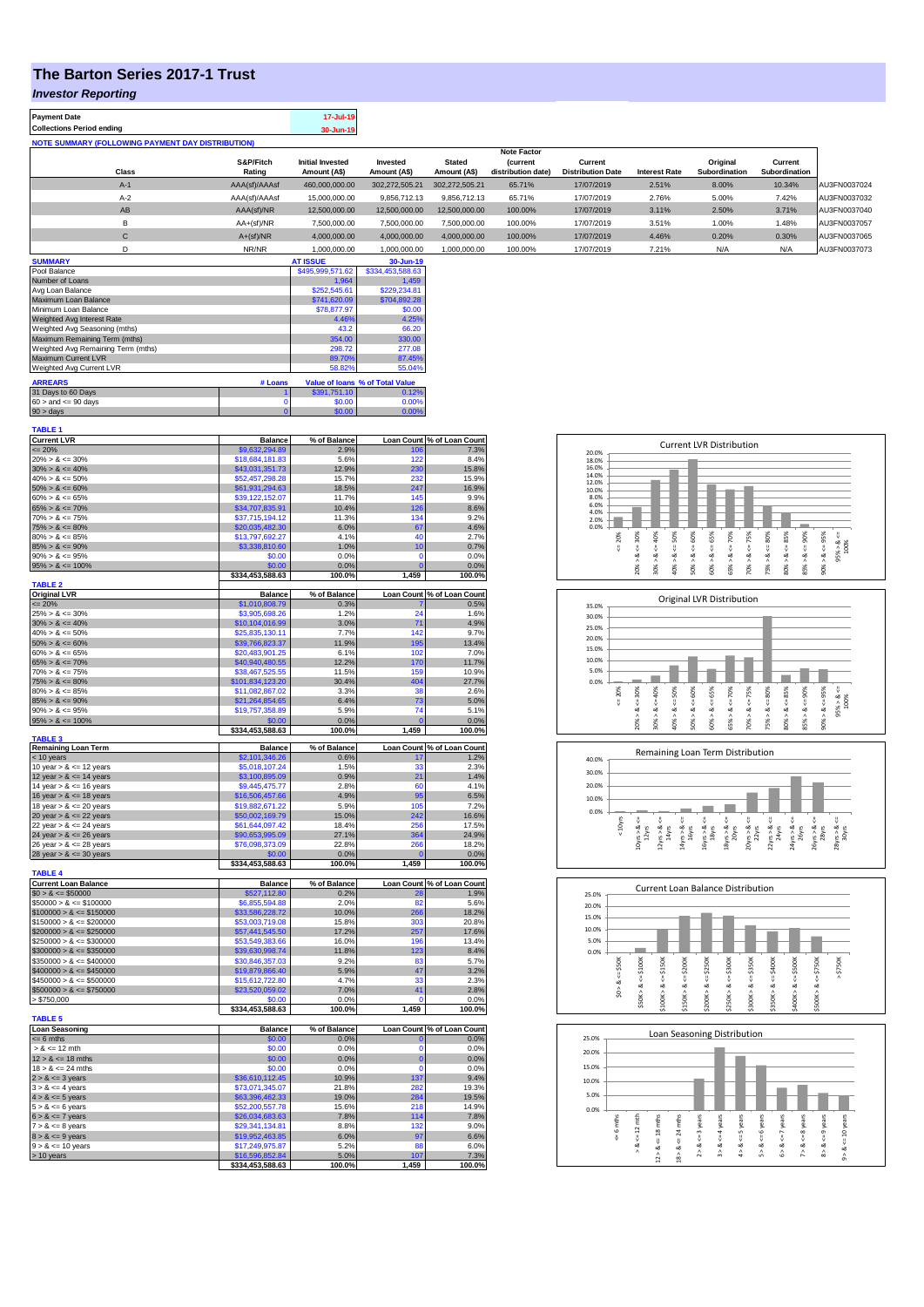## **The Barton Series 2017-1 Trust**

## *Investor Reporting*

|  | <b>Payment Date</b><br><b>Collections Period ending</b> | 17-Jul-19<br>30-Jun-19 |
|--|---------------------------------------------------------|------------------------|
|--|---------------------------------------------------------|------------------------|

|       |               |                         |                |                | <b>Note Factor</b> |                          |                      |               |               |              |
|-------|---------------|-------------------------|----------------|----------------|--------------------|--------------------------|----------------------|---------------|---------------|--------------|
|       | S&P/Fitch     | <b>Initial Invested</b> | Invested       | <b>Stated</b>  | <b>(current</b>    | Current                  |                      | Original      | Current       |              |
| Class | Rating        | Amount (A\$)            | Amount (A\$)   | Amount (A\$)   | distribution date) | <b>Distribution Date</b> | <b>Interest Rate</b> | Subordination | Subordination |              |
| $A-1$ | AAA(sf)/AAAsf | 460,000,000.00          | 302.272.505.21 | 302.272.505.21 | 65.71%             | 17/07/2019               | 2.51%                | 8.00%         | 10.34%        | AU3FN0037024 |
| $A-2$ | AAA(sf)/AAAsf | 15,000,000.00           | 9,856,712.13   | 9,856,712.13   | 65.71%             | 17/07/2019               | 2.76%                | 5.00%         | 7.42%         | AU3FN0037032 |
| AB    | AAA(sf)/NR    | 12,500,000.00           | 12.500.000.00  | 12,500,000,00  | 100.00%            | 17/07/2019               | 3.11%                | 2.50%         | 3.71%         | AU3FN0037040 |
| в     | $AA+(sf)/NR$  | 7,500,000.00            | 7,500,000.00   | 7,500,000.00   | 100.00%            | 17/07/2019               | 3.51%                | 1.00%         | 1.48%         | AU3FN0037057 |
| ◡     | $A+(sf)/NR$   | 4,000,000.00            | 4,000,000.00   | 4,000,000.00   | 100.00%            | 17/07/2019               | 4.46%                | 0.20%         | 0.30%         | AU3FN0037065 |
|       | NR/NR         | 1.000.000.00            | 1.000.000.00   | 1.000.000.00   | 100.00%            | 17/07/2019               | 7.21%                | N/A           | N/A           | AU3FN0037073 |

| <b>SUMMARY</b>                     |         | <b>AT ISSUE</b>  | 30-Jun-19                       |
|------------------------------------|---------|------------------|---------------------------------|
| Pool Balance                       |         | \$495,999,571.62 | \$334,453,588.63                |
| Number of Loans                    |         | 1.964            | 1.459                           |
| Avg Loan Balance                   |         | \$252,545.61     | \$229.234.81                    |
| Maximum Loan Balance               |         | \$741,620.09     | \$704.892.28                    |
| Minimum Loan Balance               |         | \$78,877.97      | \$0.00                          |
| Weighted Avg Interest Rate         |         | 4.46%            | 4.25%                           |
| Weighted Avg Seasoning (mths)      |         | 43.2             | 66.20                           |
| Maximum Remaining Term (mths)      |         | 354.00           | 330.00                          |
| Weighted Avg Remaining Term (mths) |         | 298.72           | 277.08                          |
| Maximum Current LVR                |         | 89.70%           | 87.45%                          |
| Weighted Avg Current LVR           |         | 58.82%           | 55.04%                          |
| <b>ARREARS</b>                     | # Loans |                  | Value of Ioans % of Total Value |
| 31 Days to 60 Days                 |         | \$391.751.10     | 0.12%                           |
| $60 >$ and $\leq 90$ days          |         | \$0.00           | 0.00%                           |
| $90 >$ days                        |         | \$0.00           | 0.00%                           |

| <b>TABLE 1</b>                                   |                                    |               |                        |                            |
|--------------------------------------------------|------------------------------------|---------------|------------------------|----------------------------|
| <b>Current LVR</b>                               | <b>Balance</b>                     | % of Balance  |                        | Loan Count % of Loan Count |
| $= 20%$                                          | \$9,632,294.89                     | 2.9%          | 10 <sub>6</sub><br>122 | 7.3%                       |
| $20\% > 8 \le 30\%$<br>$30\% > 8 \le 40\%$       | \$18,684,181.83<br>\$43,031,351.73 | 5.6%<br>12.9% | 230                    | 8.4%<br>15.8%              |
| $40\% > 8 \le 50\%$                              | \$52,457,298.28                    | 15.7%         | 232                    | 15.9%                      |
| $50\% > 8 \le 60\%$                              | \$61,931,294.63                    | 18.5%         | 247                    | 16.9%                      |
| $60\% > 8 \le 65\%$                              | \$39,122,152.07                    | 11.7%         | 145                    | 9.9%                       |
| $65\% > 8 \le 70\%$                              | \$34,707,835.91                    | 10.4%         | 126                    | 8.6%                       |
| $70\% > 8 \le 75\%$                              | \$37,715,194.12                    | 11.3%         | 134                    | 9.2%                       |
| $75\% > 8 \le 80\%$                              | \$20,035,482.30                    | 6.0%          | 67                     | 4.6%                       |
| $80\% > 8 \le 85\%$                              | \$13,797,692.27                    | 4.1%          | 40                     | 2.7%                       |
| $85\% > 8 \le 90\%$                              | \$3,338,810.60                     | 1.0%          | 10                     | 0.7%                       |
| $90\% > 8 \le 95\%$                              | \$0.00                             | 0.0%          | $\Omega$               | 0.0%                       |
| $95\% > 8 \le 100\%$                             | \$0.00                             | 0.0%          | $\overline{0}$         | 0.0%                       |
| <b>TABLE 2</b>                                   | \$334,453,588.63                   | 100.0%        | 1,459                  | 100.0%                     |
| <b>Original LVR</b>                              | <b>Balance</b>                     | % of Balance  |                        | Loan Count % of Loan Count |
| $= 20%$                                          | \$1,010,808.79                     | 0.3%          |                        | 0.5%                       |
| $25\% > 8 \le 30\%$                              | \$3,905,698.26                     | 1.2%          | 24                     | 1.6%                       |
| $30\% > 8 \le 40\%$                              | \$10,104,016.99                    | 3.0%          | 71                     | 4.9%                       |
| $40\% > 8 \le 50\%$                              | \$25,835,130.11                    | 7.7%          | 142                    | 9.7%                       |
| $50\% > 8 \le 60\%$                              | \$39.766.823.37                    | 11.9%         | 195                    | 13.4%                      |
| $60\% > 8 \le 65\%$                              | \$20,483,901.25                    | 6.1%          | 102                    | 7.0%                       |
| $65\% > 8 \le 70\%$                              | \$40,940,480.55                    | 12.2%         | 170                    | 11.7%                      |
| $70\% > 8 \le 75\%$                              | \$38,467,525.55                    | 11.5%         | 159                    | 10.9%                      |
| $75\% > 8 \le 80\%$                              | \$101,834,123.20                   | 30.4%         | 404                    | 27.7%                      |
| $80\% > 8 \le 85\%$                              | \$11,082,867.02                    | 3.3%          | 38                     | 2.6%                       |
| $85\% > 8 \le 90\%$                              | \$21,264,854.65                    | 6.4%          | 73                     | 5.0%                       |
| $90\% > 8 \le 95\%$                              | \$19,757,358.89                    | 5.9%          | 74                     | 5.1%                       |
| $95\% > 8 \le 100\%$                             | \$0.00                             | 0.0%          | $\overline{0}$         | 0.0%                       |
|                                                  | \$334,453,588.63                   | 100.0%        | 1,459                  | 100.0%                     |
| TABLE <sub>3</sub><br><b>Remaining Loan Term</b> | <b>Balance</b>                     | % of Balance  |                        | Loan Count % of Loan Count |
| $< 10$ years                                     | \$2,101,346.26                     | 0.6%          | 17                     | 1.2%                       |
| 10 year $> 8 \le 12$ years                       | \$5,018,107.24                     | 1.5%          | 33                     | 2.3%                       |
| 12 year $> 8 \le 14$ years                       | \$3,100,895.09                     | 0.9%          | 21                     | 1.4%                       |
| 14 year $> 8 \le 16$ years                       | \$9,445,475.77                     | 2.8%          | 60                     | 4.1%                       |
| 16 year $> 8 \le 18$ years                       | \$16,506,457.66                    | 4.9%          | 95                     | 6.5%                       |
| 18 year $> 8 \le 20$ years                       | \$19,882,671.22                    | 5.9%          | 105                    | 7.2%                       |
| 20 year $> 8 \le 22$ years                       | \$50,002,169.79                    | 15.0%         | 242                    | 16.6%                      |
| 22 year $> 8 \le 24$ years                       | \$61,644,097.42                    | 18.4%         | 256                    | 17.5%                      |
| 24 year $> 8 \le 26$ years                       | \$90,653,995.09                    | 27.1%         | 364                    | 24.9%                      |
| 26 year $> 8 \le 28$ years                       | \$76,098,373.09                    | 22.8%         | 266                    | 18.2%                      |
| 28 year $> 8 \le 30$ years                       | 50.OC                              | 0.0%          |                        | 0.0%                       |
|                                                  | \$334,453,588.63                   | 100.0%        | 1,459                  | 100.0%                     |
| <b>TABLE 4</b><br><b>Current Loan Balance</b>    | <b>Balance</b>                     | % of Balance  |                        | Loan Count % of Loan Count |
| $$0 > 8 \le $50000$                              | \$527,112.80                       | 0.2%          | 28                     | 1.9%                       |
| $$50000 > 8 \le $100000$                         | \$6,855,594.88                     | 2.0%          | 82                     | 5.6%                       |
| $$100000 > 8 \le $150000$                        | \$33,586,228.72                    | 10.0%         | 266                    | 18.2%                      |
| $$150000 > 8 \le $200000$                        | \$53,003,719.08                    | 15.8%         | 303                    | 20.8%                      |
| $$200000 > 8 \leq $250000$                       | \$57,441,545.50                    | 17.2%         | 257                    | 17.6%                      |
| $$250000 > 8 \leq $300000$                       | \$53,549,383.66                    | 16.0%         | 196                    | 13.4%                      |
| $$300000 > 8 \leq $350000$                       | \$39,630,998.74                    | 11.8%         | 123                    | 8.4%                       |
| $$350000 > 8 \le $400000$                        | \$30,846,357.03                    | 9.2%          | 83                     | 5.7%                       |
| $$400000 > 8 \leq $450000$                       | \$19,879,866.40                    | 5.9%          | 47                     | 3.2%                       |
| $$450000 > 8 \le $500000$                        | \$15,612,722.80                    | 4.7%          | 33                     | 2.3%                       |
| $$500000 > 8 \le $750000$                        | \$23,520,059.02                    | 7.0%          | 41                     | 2.8%                       |
| > \$750,000                                      | \$0.00                             | 0.0%          | Ō                      | 0.0%                       |
|                                                  | \$334,453,588.63                   | 100.0%        | 1,459                  | 100.0%                     |
| <b>TABLE 5</b>                                   |                                    |               |                        |                            |
| <b>Loan Seasoning</b>                            | <b>Balance</b>                     | % of Balance  |                        | Loan Count % of Loan Count |
| $= 6$ mths                                       | \$0.00                             | 0.0%          |                        | 0.0%                       |
| $> 8 \le 12$ mth                                 | \$0.00                             | 0.0%          | O                      | 0.0%                       |
| $12 > 8 \le 18$ mths                             | \$0.00                             | 0.0%          | o                      | 0.0%                       |
| $18 > 8 \le 24$ mths                             | \$0.00<br>\$36,610,112.45          | 0.0%<br>10.9% | O<br>137               | 0.0%<br>9.4%               |
| $2 > 8 \le 3$ years<br>$3 > 8 \le 4$ years       | \$73.071.345.07                    | 21.8%         | 282                    | 19.3%                      |
|                                                  |                                    | 19.0%         | 284                    | 19.5%                      |
| $4 > 8 \le 5$ years<br>$5 > 8 \le 6$ years       | \$63,396,462.33<br>\$52,200,557.78 | 15.6%         | 218                    | 14.9%                      |
| $6 > 8 \le 7$ years                              | \$26,034,683.63                    | 7.8%          | 114                    | 7.8%                       |
| $7 > 8 \le 8$ years                              | \$29,341,134.81                    | 8.8%          | 132                    | 9.0%                       |
| $8 > 8 \le 9$ years                              | \$19,952,463.85                    | 6.0%          | 97                     | 6.6%                       |
|                                                  |                                    |               |                        |                            |
|                                                  |                                    |               | 88                     |                            |
| $9 > 8 \le 10$ years<br>> 10 years               | \$17.249.975.87<br>\$16,596,852.84 | 5.2%<br>5.0%  | 107                    | 6.0%<br>7.3%               |

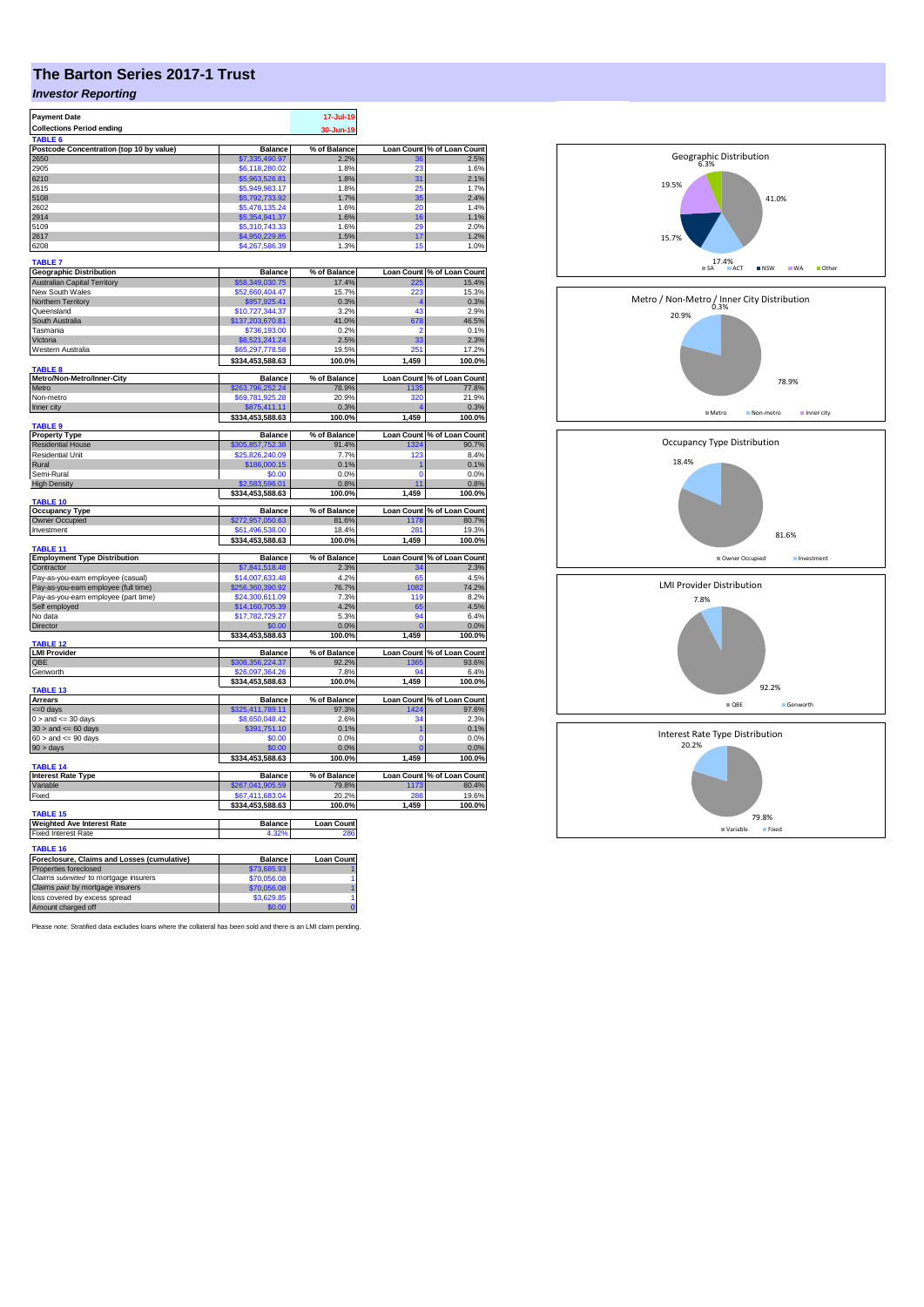# **The Barton Series 2017-1 Trust**

## *Investor Reporting*

| <b>Payment Date</b>                                       |                                     | 17-Jul-19                |                   |                                     |
|-----------------------------------------------------------|-------------------------------------|--------------------------|-------------------|-------------------------------------|
| <b>Collections Period ending</b>                          |                                     | 30-Jun-19                |                   |                                     |
| <b>TARIFF</b><br>Postcode Concentration (top 10 by value) | <b>Balance</b>                      | % of Balance             |                   | Loan Count % of Loan Count          |
| 2650                                                      | \$7,335,490.97                      | 2.2%                     | 36                | 2.5%                                |
| 2905                                                      | \$6,118,280.02                      | 1.8%                     | 23                | 1.6%                                |
| 6210                                                      | \$5,963,526.81                      | 1.8%                     | 31                | 2.1%                                |
| 2615                                                      | \$5,949,983.17                      | 1.8%                     | 25                | 1.7%                                |
| 5108                                                      | \$5,792,733.92                      | 1.7%                     | 35                | 2.4%                                |
| 2602<br>2914                                              | \$5,478,135.24                      | 1.6%<br>1.6%             | 20<br>16          | 1.4%                                |
| 5109                                                      | \$5,354,941.37<br>\$5,310,743.33    | 1.6%                     | 29                | 1.1%<br>2.0%                        |
| 2617                                                      | \$4,950,229.85                      | 1.5%                     | 17                | 1.2%                                |
| 6208                                                      | \$4,267,586.39                      | 1.3%                     | 15                | 1.0%                                |
| <b>TABLE 7</b>                                            |                                     |                          |                   |                                     |
| <b>Geographic Distribution</b>                            | <b>Balance</b>                      | % of Balance             |                   | Loan Count % of Loan Count          |
| <b>Australian Capital Territory</b>                       | \$58,349,030.75                     | 17.4%                    | 225               | 15.4%                               |
| New South Wales                                           | \$52,660,404.47                     | 15.7%                    | 223               | 15.3%                               |
| Northern Territory                                        | \$957,925.41                        | 0.3%                     | 4                 | 0.3%                                |
| Queensland                                                | \$10,727,344.37                     | 3.2%                     | 43                | 2.9%                                |
| South Australia                                           | \$137,203,670.81                    | 41.0%                    | 678               | 46.5%                               |
| Tasmania                                                  | \$736,193.00                        | 0.2%                     | 2                 | 0.1%                                |
| Victoria                                                  | \$8,521,241.24                      | 2.5%                     | 33<br>251         | 2.3%                                |
| Western Australia                                         | \$65,297,778.58<br>\$334,453,588.63 | 19.5%<br>100.0%          | 1,459             | 17.2%<br>100.0%                     |
| TABLE <sub>8</sub>                                        |                                     |                          |                   |                                     |
| Metro/Non-Metro/Inner-City<br>Metro                       | <b>Balance</b><br>263.796.252.24    | % of Balance<br>78.9%    | 1135              | Loan Count % of Loan Count<br>77.8% |
| Non-metro                                                 | \$69,781,925.28                     | 20.9%                    | 320               | 21.9%                               |
| Inner city                                                | \$875,411.11                        | 0.3%                     |                   | 0.3%                                |
| TABLE <sub>9</sub>                                        | \$334,453,588.63                    | 100.0%                   | 1,459             | 100.0%                              |
| <b>Property Type</b>                                      | <b>Balance</b>                      | % of Balance             |                   | Loan Count % of Loan Count          |
| <b>Residential House</b>                                  | \$305,857,752.38                    | 91.4%                    | 1324              | 90.7%                               |
| Residential Unit                                          | \$25,826,240.09                     | 7.7%                     | 123               | 8.4%                                |
| Rural                                                     | \$186,000.15                        | 0.1%                     | 1                 | 0.1%                                |
| Semi-Rural                                                | \$0.00                              | 0.0%                     | $\Omega$          | 0.0%                                |
| <b>High Density</b>                                       | \$2,583,596.01<br>\$334,453,588.63  | 0.8%<br>100.0%           | 11<br>1,459       | 0.8%<br>100.0%                      |
| TABLE 10                                                  |                                     |                          |                   |                                     |
| Occupancy Type                                            | <b>Balance</b>                      | % of Balance             | <b>Loan Count</b> | % of Loan Count                     |
| Owner Occupied                                            | \$272,957,050.63                    | 81.6%                    | 1178              | 80.7%                               |
| Investment                                                | \$61,496,538.00<br>\$334,453,588.63 | 18.4%<br>100.0%          | 281<br>1,459      | 19.3%<br>100.0%                     |
| TABLE <sub>11</sub>                                       |                                     |                          |                   |                                     |
| <b>Employment Type Distribution</b>                       | <b>Balance</b>                      | % of Balance             |                   | Loan Count % of Loan Count          |
| Contractor                                                | \$7,841,518.48                      | 2.3%                     | 34                | 2.3%                                |
| Pay-as-you-earn employee (casual)                         | \$14,007,633.48                     | 4.2%                     | 65                | 4.5%                                |
| Pay-as-you-earn employee (full time)                      | \$256,360,390.92                    | 76.7%                    | 1082              | 74.2%                               |
| Pay-as-you-earn employee (part time)                      | \$24,300,611.09                     | 7.3%                     | 119               | 8.2%                                |
| Self employed<br>No data                                  | \$14,160,705.39<br>\$17,782,729.27  | 4.2%<br>5.3%             | 65<br>94          | 4.5%<br>6.4%                        |
| Director                                                  | \$0.00                              | 0.0%                     |                   | 0.0%                                |
|                                                           | \$334,453,588.63                    | 100.0%                   | 1,459             | 100.0%                              |
| TABLE <sub>12</sub>                                       |                                     |                          |                   |                                     |
| <b>LMI Provider</b>                                       | <b>Balance</b>                      | % of Balance             |                   | Loan Count % of Loan Count          |
| QBE                                                       | \$308.356.224.37                    | 92.2%                    | 1365<br>94        | 93.6%                               |
| Genworth                                                  | \$26,097,364.26<br>\$334,453,588.63 | 7.8%<br>100.0%           | 1,459             | 6.4%<br>100.0%                      |
| TABLE 13                                                  |                                     |                          |                   |                                     |
| <b>Arrears</b>                                            | <b>Balance</b>                      | % of Balance             |                   | Loan Count % of Loan Count          |
| <= 0 days                                                 | \$325,411,789.11                    | 97.3%                    | 1424              | 97.6%                               |
| $0 >$ and $\leq$ 30 days                                  | \$8,650,048.42                      | 2.6%                     | 34                | 2.3%                                |
| $30$ > and <= 60 days                                     | \$391,751.10<br>\$0.00              | 0.1%<br>0.0%             | 1<br>n            | 0.1%<br>0.0%                        |
| $60 >$ and $\leq 90$ days<br>$90 > \text{days}$           | \$0.00                              | 0.0%                     | O                 | 0.0%                                |
|                                                           | \$334,453,588.63                    | 100.0%                   | 1,459             | 100.0%                              |
| TABLE 14                                                  |                                     |                          |                   |                                     |
| <b>Interest Rate Type</b>                                 | <b>Balance</b>                      | % of Balance             |                   | Loan Count % of Loan Count          |
| Variable<br>Fixed                                         | \$267,041,905.59<br>\$67,411,683.04 | 79.8%<br>20.2%           | 1173<br>286       | 80.4%<br>19.6%                      |
|                                                           | \$334,453,588.63                    | 100.0%                   | 1,459             | 100.0%                              |
| TABLE 15                                                  |                                     |                          |                   |                                     |
| Weighted Ave Interest Rate<br><b>Fixed Interest Rate</b>  | <b>Balance</b><br>4.32%             | <b>Loan Count</b><br>286 |                   |                                     |
| <b>TABLE 16</b>                                           |                                     |                          |                   |                                     |
| Foreclosure, Claims and Losses (cumulative)               | <b>Balance</b>                      | <b>Loan Count</b>        |                   |                                     |
| Properties foreclosed                                     | \$73,685.93                         |                          |                   |                                     |
| Claims submitted to mortgage insurers                     | \$70.056.08                         |                          |                   |                                     |
| Claims paid by mortgage insurers                          | \$70,056.08                         |                          |                   |                                     |
| loss covered by excess spread<br>Amount charged off       | \$3,629.85<br>\$0.00                | 1<br>$\overline{0}$      |                   |                                     |
|                                                           |                                     |                          |                   |                                     |

Please note: Stratified data excludes loans where the collateral has been sold and there is an LMI claim pending.